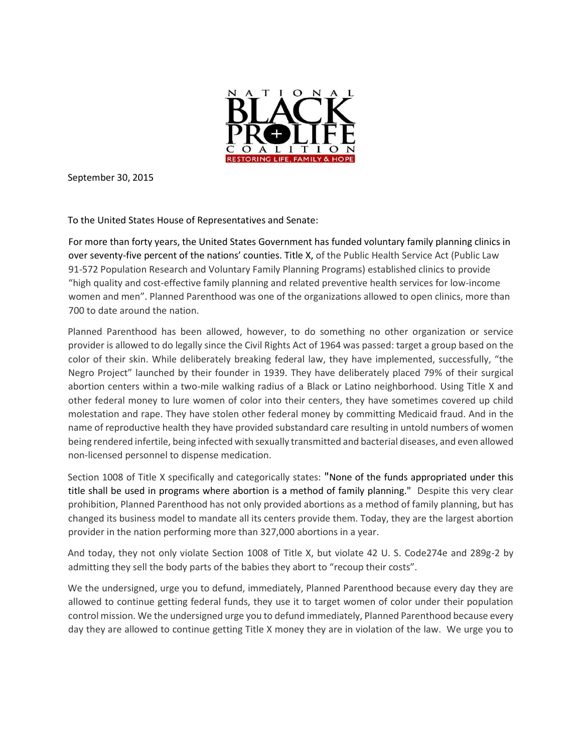

September 30, 2015

To the United States House of Representatives and Senate:

For more than forty years, the United States Government has funded voluntary family planning clinics in over seventy-five percent of the nations' counties. Title X, of the Public Health Service Act (Public Law 91-572 Population Research and Voluntary Family Planning Programs) established clinics to provide "high quality and cost-effective family planning and related preventive health services for low-income women and men". Planned Parenthood was one of the organizations allowed to open clinics, more than 700 to date around the nation.

Planned Parenthood has been allowed, however, to do something no other organization or service provider is allowed to do legally since the Civil Rights Act of 1964 was passed: target a group based on the color of their skin. While deliberately breaking federal law, they have implemented, successfully, "the Negro Project" launched by their founder in 1939. They have deliberately placed 79% of their surgical abortion centers within a two-mile walking radius of a Black or Latino neighborhood. Using Title X and other federal money to lure women of color into their centers, they have sometimes covered up child molestation and rape. They have stolen other federal money by committing Medicaid fraud. And in the name of reproductive health they have provided substandard care resulting in untold numbers of women being rendered infertile, being infected with sexually transmitted and bacterial diseases, and even allowed non-licensed personnel to dispense medication.

Section 1008 of Title X specifically and categorically states: "None of the funds appropriated under this title shall be used in programs where abortion is a method of family planning." Despite this very clear prohibition, Planned Parenthood has not only provided abortions as a method of family planning, but has changed its business model to mandate all its centers provide them. Today, they are the largest abortion provider in the nation performing more than 327,000 abortions in a year.

And today, they not only violate Section 1008 of Title X, but violate 42 U. S. Code274e and 289g-2 by admitting they sell the body parts of the babies they abort to "recoup their costs".

We the undersigned, urge you to defund, immediately, Planned Parenthood because every day they are allowed to continue getting federal funds, they use it to target women of color under their population control mission. We the undersigned urge you to defund immediately, Planned Parenthood because every day they are allowed to continue getting Title X money they are in violation of the law. We urge you to